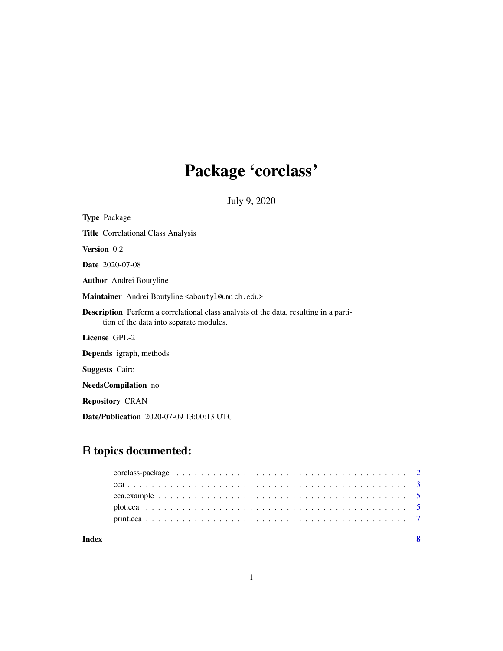# Package 'corclass'

July 9, 2020

<span id="page-0-0"></span>

| <b>Type Package</b>                                                                                                                     |  |  |
|-----------------------------------------------------------------------------------------------------------------------------------------|--|--|
| <b>Title</b> Correlational Class Analysis                                                                                               |  |  |
| Version 0.2                                                                                                                             |  |  |
| <b>Date</b> 2020-07-08                                                                                                                  |  |  |
| <b>Author</b> Andrei Boutyline                                                                                                          |  |  |
| Maintainer Andrei Boutyline <aboutyl@umich.edu></aboutyl@umich.edu>                                                                     |  |  |
| <b>Description</b> Perform a correlational class analysis of the data, resulting in a parti-<br>tion of the data into separate modules. |  |  |
| License GPL-2                                                                                                                           |  |  |
| Depends igraph, methods                                                                                                                 |  |  |
| <b>Suggests</b> Cairo                                                                                                                   |  |  |
| <b>NeedsCompilation</b> no                                                                                                              |  |  |
| <b>Repository CRAN</b>                                                                                                                  |  |  |
| <b>Date/Publication</b> 2020-07-09 13:00:13 UTC                                                                                         |  |  |

# R topics documented:

| Index |  |
|-------|--|
|       |  |
|       |  |
|       |  |
|       |  |
|       |  |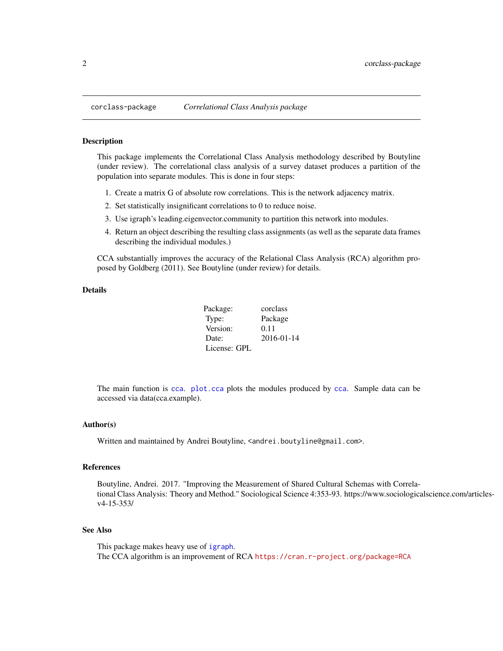<span id="page-1-0"></span>

#### Description

This package implements the Correlational Class Analysis methodology described by Boutyline (under review). The correlational class analysis of a survey dataset produces a partition of the population into separate modules. This is done in four steps:

- 1. Create a matrix G of absolute row correlations. This is the network adjacency matrix.
- 2. Set statistically insignificant correlations to 0 to reduce noise.
- 3. Use igraph's leading.eigenvector.community to partition this network into modules.
- 4. Return an object describing the resulting class assignments (as well as the separate data frames describing the individual modules.)

CCA substantially improves the accuracy of the Relational Class Analysis (RCA) algorithm proposed by Goldberg (2011). See Boutyline (under review) for details.

#### Details

| Package:     | corclass   |
|--------------|------------|
| Type:        | Package    |
| Version:     | 0.11       |
| Date:        | 2016-01-14 |
| License: GPL |            |

The main function is [cca](#page-2-1). [plot.cca](#page-4-1) plots the modules produced by [cca](#page-2-1). Sample data can be accessed via data(cca.example).

#### Author(s)

Written and maintained by Andrei Boutyline, <andrei.boutyline@gmail.com>.

#### References

Boutyline, Andrei. 2017. "Improving the Measurement of Shared Cultural Schemas with Correlational Class Analysis: Theory and Method." Sociological Science 4:353-93. https://www.sociologicalscience.com/articlesv4-15-353/

#### See Also

This package makes heavy use of [igraph](#page-0-0). The CCA algorithm is an improvement of RCA <https://cran.r-project.org/package=RCA>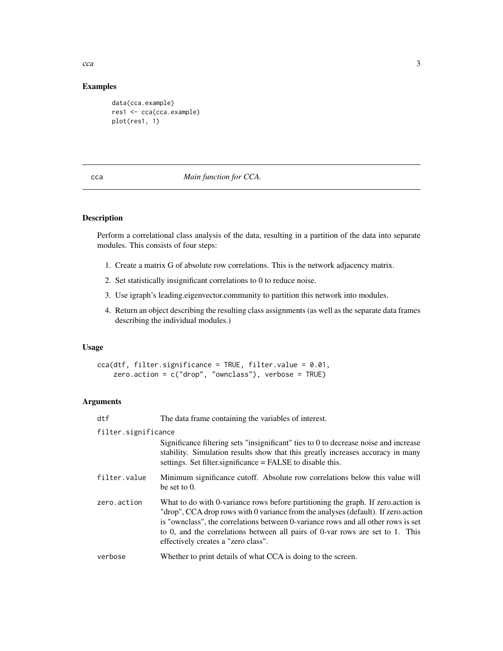Examples

```
data(cca.example)
res1 <- cca(cca.example)
plot(res1, 1)
```
# <span id="page-2-1"></span>cca *Main function for CCA.*

## Description

Perform a correlational class analysis of the data, resulting in a partition of the data into separate modules. This consists of four steps:

- 1. Create a matrix G of absolute row correlations. This is the network adjacency matrix.
- 2. Set statistically insignificant correlations to 0 to reduce noise.
- 3. Use igraph's leading.eigenvector.community to partition this network into modules.
- 4. Return an object describing the resulting class assignments (as well as the separate data frames describing the individual modules.)

# Usage

```
cca(dtf, filter.significance = TRUE, filter.value = 0.01,
   zero.action = c("drop", "ownclass"), verbose = TRUE)
```
# Arguments

| dtf                 | The data frame containing the variables of interest.                                                                                                                                                                                                                                                                                                                               |  |
|---------------------|------------------------------------------------------------------------------------------------------------------------------------------------------------------------------------------------------------------------------------------------------------------------------------------------------------------------------------------------------------------------------------|--|
| filter.significance |                                                                                                                                                                                                                                                                                                                                                                                    |  |
|                     | Significance filtering sets "insignificant" ties to 0 to decrease noise and increase<br>stability. Simulation results show that this greatly increases accuracy in many<br>settings. Set filter significance = FALSE to disable this.                                                                                                                                              |  |
| filter.value        | Minimum significance cutoff. Absolute row correlations below this value will<br>be set to $0$ .                                                                                                                                                                                                                                                                                    |  |
| zero.action         | What to do with 0-variance rows before partitioning the graph. If zero action is<br>"drop", CCA drop rows with 0 variance from the analyses (default). If zero action<br>is "ownclass", the correlations between 0-variance rows and all other rows is set<br>to 0, and the correlations between all pairs of 0-var rows are set to 1. This<br>effectively creates a "zero class". |  |
| verbose             | Whether to print details of what CCA is doing to the screen.                                                                                                                                                                                                                                                                                                                       |  |

<span id="page-2-0"></span> $cca$  3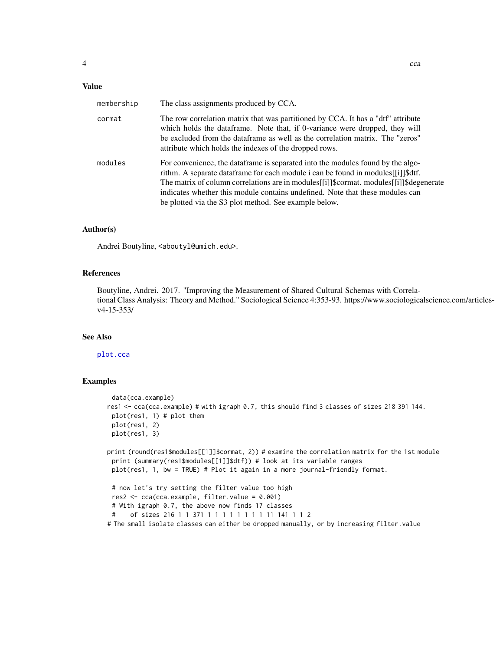# <span id="page-3-0"></span>Value

| membership | The class assignments produced by CCA.                                                                                                                                                                                                                                                                                                                                                                        |
|------------|---------------------------------------------------------------------------------------------------------------------------------------------------------------------------------------------------------------------------------------------------------------------------------------------------------------------------------------------------------------------------------------------------------------|
| cormat     | The row correlation matrix that was partitioned by CCA. It has a "dtf" attribute<br>which holds the data frame. Note that, if 0-variance were dropped, they will<br>be excluded from the dataframe as well as the correlation matrix. The "zeros"<br>attribute which holds the indexes of the dropped rows.                                                                                                   |
| modules    | For convenience, the dataframe is separated into the modules found by the algo-<br>rithm. A separate data frame for each module i can be found in modules [[i]] \$dff.<br>The matrix of column correlations are in modules [[i]]\$cormat. modules [[i]]\$degenerate<br>indicates whether this module contains undefined. Note that these modules can<br>be plotted via the S3 plot method. See example below. |

#### Author(s)

Andrei Boutyline, <aboutyl@umich.edu>.

#### References

Boutyline, Andrei. 2017. "Improving the Measurement of Shared Cultural Schemas with Correlational Class Analysis: Theory and Method." Sociological Science 4:353-93. https://www.sociologicalscience.com/articlesv4-15-353/

# See Also

#### [plot.cca](#page-4-1)

# Examples

```
data(cca.example)
res1 <- cca(cca.example) # with igraph 0.7, this should find 3 classes of sizes 218 391 144.
 plot(res1, 1) # plot them
 plot(res1, 2)
 plot(res1, 3)
print (round(res1$modules[[1]]$cormat, 2)) # examine the correlation matrix for the 1st module
 print (summary(res1$modules[[1]]$dtf)) # look at its variable ranges
 plot(res1, 1, bw = TRUE) # Plot it again in a more journal-friendly format.
 # now let's try setting the filter value too high
 res2 <- cca(cca.example, filter.value = 0.001)
 # With igraph 0.7, the above now finds 17 classes
 # of sizes 216 1 1 371 1 1 1 1 1 1 1 1 11 141 1 1 2
# The small isolate classes can either be dropped manually, or by increasing filter.value
```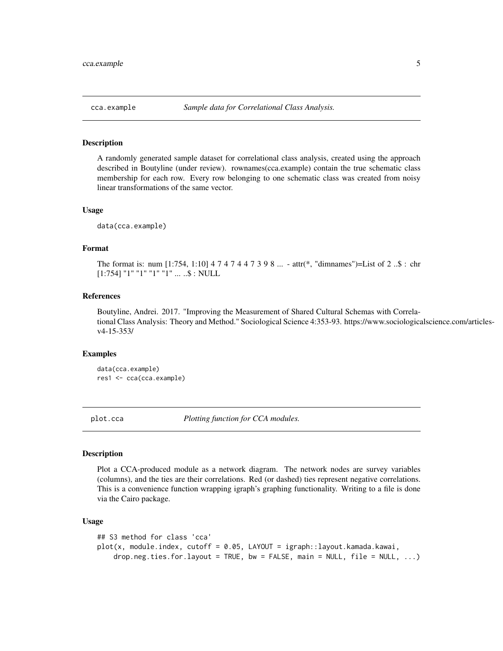<span id="page-4-0"></span>

#### Description

A randomly generated sample dataset for correlational class analysis, created using the approach described in Boutyline (under review). rownames(cca.example) contain the true schematic class membership for each row. Every row belonging to one schematic class was created from noisy linear transformations of the same vector.

#### Usage

data(cca.example)

# Format

The format is: num [1:754, 1:10] 4 7 4 7 4 4 7 3 9 8 ... - attr(\*, "dimnames")=List of 2 ..\$ : chr [1:754] "1" "1" "1" "1" ... ..\$ : NULL

#### References

Boutyline, Andrei. 2017. "Improving the Measurement of Shared Cultural Schemas with Correlational Class Analysis: Theory and Method." Sociological Science 4:353-93. https://www.sociologicalscience.com/articlesv4-15-353/

#### Examples

data(cca.example) res1 <- cca(cca.example)

<span id="page-4-1"></span>

plot.cca *Plotting function for CCA modules.*

#### Description

Plot a CCA-produced module as a network diagram. The network nodes are survey variables (columns), and the ties are their correlations. Red (or dashed) ties represent negative correlations. This is a convenience function wrapping igraph's graphing functionality. Writing to a file is done via the Cairo package.

#### Usage

```
## S3 method for class 'cca'
plot(x, module.index, cutoff = 0.05, LAYOUT = igraph::layout.kamada.kawai,
   drop.neg.ties.for.layout = TRUE, bw = FALSE, main = NULL, file = NULL, ...
```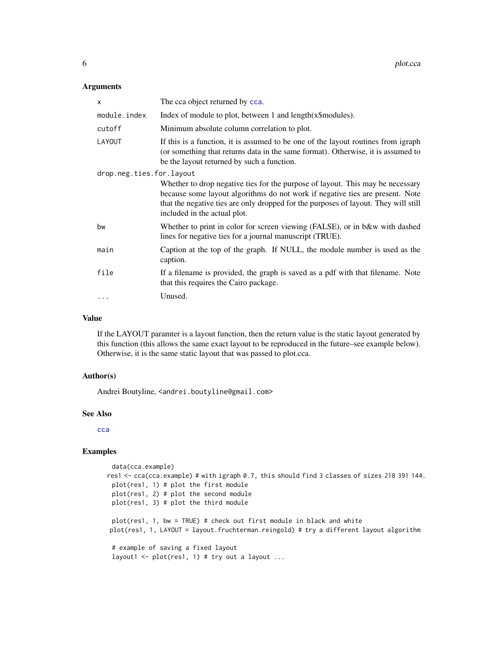#### <span id="page-5-0"></span>Arguments

| X                        | The cca object returned by cca.                                                                                                                                                                                                                                                        |  |
|--------------------------|----------------------------------------------------------------------------------------------------------------------------------------------------------------------------------------------------------------------------------------------------------------------------------------|--|
| module.index             | Index of module to plot, between 1 and length(x\\$modules).                                                                                                                                                                                                                            |  |
| cutoff                   | Minimum absolute column correlation to plot.                                                                                                                                                                                                                                           |  |
| LAYOUT                   | If this is a function, it is assumed to be one of the layout routines from igraph<br>(or something that returns data in the same format). Otherwise, it is assumed to<br>be the layout returned by such a function.                                                                    |  |
| drop.neg.ties.for.layout |                                                                                                                                                                                                                                                                                        |  |
|                          | Whether to drop negative ties for the purpose of layout. This may be necessary<br>because some layout algorithms do not work if negative ties are present. Note<br>that the negative ties are only dropped for the purposes of layout. They will still<br>included in the actual plot. |  |
| bw                       | Whether to print in color for screen viewing (FALSE), or in b&w with dashed<br>lines for negative ties for a journal manuscript (TRUE).                                                                                                                                                |  |
| main                     | Caption at the top of the graph. If NULL, the module number is used as the<br>caption.                                                                                                                                                                                                 |  |
| file                     | If a filename is provided, the graph is saved as a pdf with that filename. Note<br>that this requires the Cairo package.                                                                                                                                                               |  |
| $\cdots$                 | Unused.                                                                                                                                                                                                                                                                                |  |

#### Value

If the LAYOUT paramter is a layout function, then the return value is the static layout generated by this function (this allows the same exact layout to be reproduced in the future–see example below). Otherwise, it is the same static layout that was passed to plot.cca.

# Author(s)

Andrei Boutyline, <andrei.boutyline@gmail.com>

#### See Also

[cca](#page-2-1)

# Examples

```
data(cca.example)
res1 <- cca(cca.example) # with igraph 0.7, this should find 3 classes of sizes 218 391 144.
 plot(res1, 1) # plot the first module
 plot(res1, 2) # plot the second module
 plot(res1, 3) # plot the third module
 plot(res1, 1, bw = TRUE) # check out first module in black and white
plot(res1, 1, LAYOUT = layout.fruchterman.reingold) # try a different layout algorithm
 # example of saving a fixed layout
 layout1 <- plot(res1, 1) # try out a layout ...
```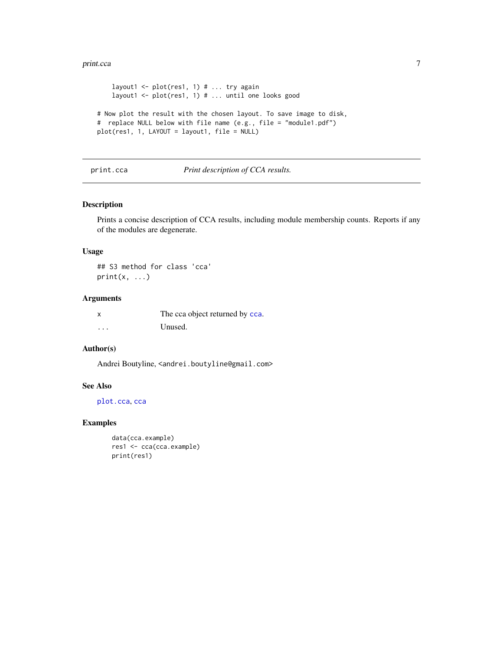#### <span id="page-6-0"></span>print.cca 7

```
layout1 <- plot(res1, 1) # ... try again
   layout1 <- plot(res1, 1) # ... until one looks good
# Now plot the result with the chosen layout. To save image to disk,
# replace NULL below with file name (e.g., file = "module1.pdf")
plot(res1, 1, LAYOUT = layout1, file = NULL)
```
#### print.cca *Print description of CCA results.*

### Description

Prints a concise description of CCA results, including module membership counts. Reports if any of the modules are degenerate.

# Usage

## S3 method for class 'cca'  $print(x, \ldots)$ 

# Arguments

| x | The cca object returned by cca. |
|---|---------------------------------|
| . | Unused.                         |

### Author(s)

Andrei Boutyline, <andrei.boutyline@gmail.com>

# See Also

[plot.cca](#page-4-1), [cca](#page-2-1)

# Examples

```
data(cca.example)
res1 <- cca(cca.example)
print(res1)
```